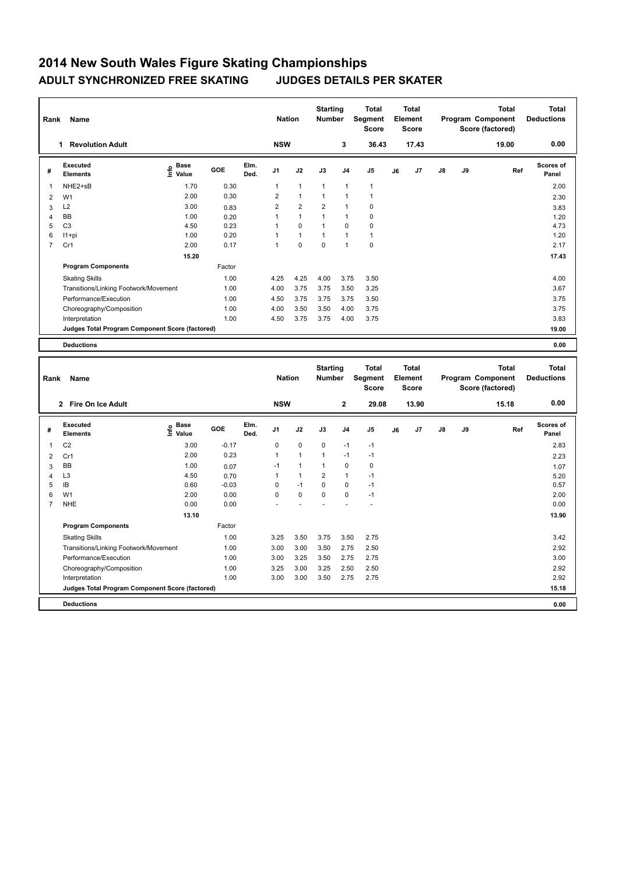## **2014 New South Wales Figure Skating Championships ADULT SYNCHRONIZED FREE SKATING JUDGES DETAILS PER SKATER**

| Rank           | Name                                            |                              |        |              | <b>Nation</b>  |                | <b>Starting</b><br><b>Number</b> |                | <b>Total</b><br>Segment<br><b>Score</b> |    | <b>Total</b><br>Element<br><b>Score</b> |    |    | <b>Total</b><br>Program Component<br>Score (factored) | <b>Total</b><br><b>Deductions</b> |
|----------------|-------------------------------------------------|------------------------------|--------|--------------|----------------|----------------|----------------------------------|----------------|-----------------------------------------|----|-----------------------------------------|----|----|-------------------------------------------------------|-----------------------------------|
|                | <b>Revolution Adult</b><br>1.                   |                              |        |              | <b>NSW</b>     |                |                                  | 3              | 36.43                                   |    | 17.43                                   |    |    | 19.00                                                 | 0.00                              |
| #              | Executed<br><b>Elements</b>                     | <b>Base</b><br>١nfo<br>Value | GOE    | Elm.<br>Ded. | J <sub>1</sub> | J2             | J3                               | J <sub>4</sub> | J <sub>5</sub>                          | J6 | J <sub>7</sub>                          | J8 | J9 | Ref                                                   | Scores of<br>Panel                |
| 1              | NHE2+sB                                         | 1.70                         | 0.30   |              | $\mathbf{1}$   | $\mathbf{1}$   | $\overline{1}$                   | $\overline{1}$ | $\overline{1}$                          |    |                                         |    |    |                                                       | 2.00                              |
| 2              | W <sub>1</sub>                                  | 2.00                         | 0.30   |              | $\overline{2}$ | $\mathbf{1}$   | $\mathbf{1}$                     | 1              | $\mathbf{1}$                            |    |                                         |    |    |                                                       | 2.30                              |
| 3              | L2                                              | 3.00                         | 0.83   |              | $\overline{2}$ | $\overline{2}$ | $\overline{2}$                   | 1              | 0                                       |    |                                         |    |    |                                                       | 3.83                              |
| 4              | BB                                              | 1.00                         | 0.20   |              | 1              | $\mathbf{1}$   | 1                                | 1              | $\mathbf 0$                             |    |                                         |    |    |                                                       | 1.20                              |
| 5              | C <sub>3</sub>                                  | 4.50                         | 0.23   |              | 1              | $\mathbf 0$    | 1                                | $\mathbf 0$    | $\pmb{0}$                               |    |                                         |    |    |                                                       | 4.73                              |
| 6              | $11+pi$                                         | 1.00                         | 0.20   |              | 1              | $\overline{1}$ | $\mathbf{1}$                     | $\overline{1}$ | $\mathbf{1}$                            |    |                                         |    |    |                                                       | 1.20                              |
| $\overline{7}$ | Cr1                                             | 2.00                         | 0.17   |              | 1              | $\mathbf 0$    | $\mathbf 0$                      | $\overline{1}$ | $\mathbf 0$                             |    |                                         |    |    |                                                       | 2.17                              |
|                |                                                 | 15.20                        |        |              |                |                |                                  |                |                                         |    |                                         |    |    |                                                       | 17.43                             |
|                | <b>Program Components</b>                       |                              | Factor |              |                |                |                                  |                |                                         |    |                                         |    |    |                                                       |                                   |
|                | <b>Skating Skills</b>                           |                              | 1.00   |              | 4.25           | 4.25           | 4.00                             | 3.75           | 3.50                                    |    |                                         |    |    |                                                       | 4.00                              |
|                | Transitions/Linking Footwork/Movement           |                              | 1.00   |              | 4.00           | 3.75           | 3.75                             | 3.50           | 3.25                                    |    |                                         |    |    |                                                       | 3.67                              |
|                | Performance/Execution                           |                              | 1.00   |              | 4.50           | 3.75           | 3.75                             | 3.75           | 3.50                                    |    |                                         |    |    |                                                       | 3.75                              |
|                | Choreography/Composition                        |                              | 1.00   |              | 4.00           | 3.50           | 3.50                             | 4.00           | 3.75                                    |    |                                         |    |    |                                                       | 3.75                              |
|                | Interpretation                                  |                              | 1.00   |              | 4.50           | 3.75           | 3.75                             | 4.00           | 3.75                                    |    |                                         |    |    |                                                       | 3.83                              |
|                | Judges Total Program Component Score (factored) |                              |        |              |                |                |                                  |                |                                         |    |                                         |    |    |                                                       | 19.00                             |
|                | <b>Deductions</b>                               |                              |        |              |                |                |                                  |                |                                         |    |                                         |    |    |                                                       | 0.00                              |
|                |                                                 |                              |        |              |                |                | $\sim$ $\sim$                    |                |                                         |    |                                         |    |    |                                                       |                                   |

| Rank<br>Name   |                                                 |                              |         |              |                | <b>Nation</b>  |                | <b>Starting</b><br><b>Number</b> | <b>Total</b><br>Segment<br><b>Score</b> | <b>Total</b><br>Element<br>Score |       |               | <b>Total</b><br>Program Component<br>Score (factored) |       | <b>Total</b><br><b>Deductions</b> |
|----------------|-------------------------------------------------|------------------------------|---------|--------------|----------------|----------------|----------------|----------------------------------|-----------------------------------------|----------------------------------|-------|---------------|-------------------------------------------------------|-------|-----------------------------------|
|                | 2 Fire On Ice Adult                             |                              |         |              | <b>NSW</b>     |                |                | $\mathbf{2}$                     | 29.08                                   |                                  | 13.90 |               |                                                       | 15.18 | 0.00                              |
| #              | Executed<br><b>Elements</b>                     | <b>Base</b><br>Info<br>Value | GOE     | Elm.<br>Ded. | J <sub>1</sub> | J2             | J3             | J <sub>4</sub>                   | J <sub>5</sub>                          | J6                               | J7    | $\mathsf{J}8$ | J9                                                    | Ref   | Scores of<br>Panel                |
| 1              | C <sub>2</sub>                                  | 3.00                         | $-0.17$ |              | 0              | $\mathbf 0$    | 0              | $-1$                             | $-1$                                    |                                  |       |               |                                                       |       | 2.83                              |
| $\overline{2}$ | Cr1                                             | 2.00                         | 0.23    |              | 1              | $\mathbf{1}$   | $\overline{1}$ | $-1$                             | $-1$                                    |                                  |       |               |                                                       |       | 2.23                              |
| 3              | <b>BB</b>                                       | 1.00                         | 0.07    |              | $-1$           | $\overline{1}$ | 1              | $\mathbf 0$                      | $\pmb{0}$                               |                                  |       |               |                                                       |       | 1.07                              |
| 4              | L <sub>3</sub>                                  | 4.50                         | 0.70    |              | 1              | $\overline{1}$ | $\overline{2}$ | $\overline{1}$                   | $-1$                                    |                                  |       |               |                                                       |       | 5.20                              |
| 5              | IB                                              | 0.60                         | $-0.03$ |              | 0              | $-1$           | $\mathbf 0$    | $\mathbf 0$                      | $-1$                                    |                                  |       |               |                                                       |       | 0.57                              |
| 6              | W <sub>1</sub>                                  | 2.00                         | 0.00    |              | 0              | $\mathbf 0$    | $\mathbf 0$    | $\mathbf 0$                      | $-1$                                    |                                  |       |               |                                                       |       | 2.00                              |
| $\overline{7}$ | <b>NHE</b>                                      | 0.00                         | 0.00    |              |                |                |                |                                  |                                         |                                  |       |               |                                                       |       | 0.00                              |
|                |                                                 | 13.10                        |         |              |                |                |                |                                  |                                         |                                  |       |               |                                                       |       | 13.90                             |
|                | <b>Program Components</b>                       |                              | Factor  |              |                |                |                |                                  |                                         |                                  |       |               |                                                       |       |                                   |
|                | <b>Skating Skills</b>                           |                              | 1.00    |              | 3.25           | 3.50           | 3.75           | 3.50                             | 2.75                                    |                                  |       |               |                                                       |       | 3.42                              |
|                | Transitions/Linking Footwork/Movement           |                              | 1.00    |              | 3.00           | 3.00           | 3.50           | 2.75                             | 2.50                                    |                                  |       |               |                                                       |       | 2.92                              |
|                | Performance/Execution                           |                              | 1.00    |              | 3.00           | 3.25           | 3.50           | 2.75                             | 2.75                                    |                                  |       |               |                                                       |       | 3.00                              |
|                | Choreography/Composition                        |                              | 1.00    |              | 3.25           | 3.00           | 3.25           | 2.50                             | 2.50                                    |                                  |       |               |                                                       |       | 2.92                              |
|                | Interpretation                                  |                              | 1.00    |              | 3.00           | 3.00           | 3.50           | 2.75                             | 2.75                                    |                                  |       |               |                                                       |       | 2.92                              |
|                | Judges Total Program Component Score (factored) |                              |         |              |                |                |                |                                  |                                         |                                  |       |               |                                                       |       | 15.18                             |
|                | <b>Deductions</b>                               |                              |         |              |                |                |                |                                  |                                         |                                  |       |               |                                                       |       | 0.00                              |